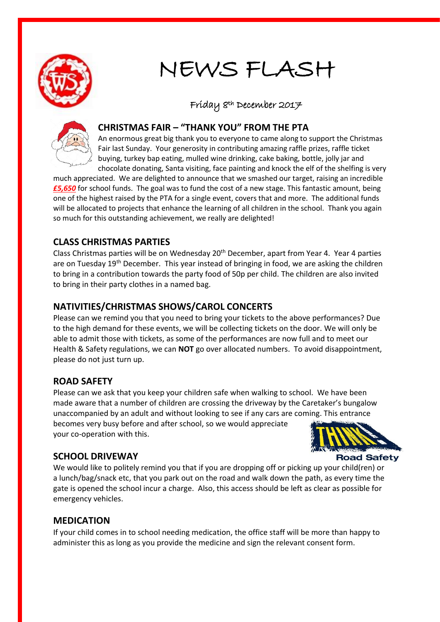

### NEWS FLASH

## Friday 8th December 2017



#### **CHRISTMAS FAIR – "THANK YOU" FROM THE PTA**

An enormous great big thank you to everyone to came along to support the Christmas Fair last Sunday. Your generosity in contributing amazing raffle prizes, raffle ticket buying, turkey bap eating, mulled wine drinking, cake baking, bottle, jolly jar and chocolate donating, Santa visiting, face painting and knock the elf of the shelfing is very

much appreciated. We are delighted to announce that we smashed our target, raising an incredible *£5,650* for school funds. The goal was to fund the cost of a new stage. This fantastic amount, being one of the highest raised by the PTA for a single event, covers that and more. The additional funds will be allocated to projects that enhance the learning of all children in the school. Thank you again so much for this outstanding achievement, we really are delighted!

#### **CLASS CHRISTMAS PARTIES**

Class Christmas parties will be on Wednesday 20<sup>th</sup> December, apart from Year 4. Year 4 parties are on Tuesday 19<sup>th</sup> December. This year instead of bringing in food, we are asking the children to bring in a contribution towards the party food of 50p per child. The children are also invited to bring in their party clothes in a named bag.

#### **NATIVITIES/CHRISTMAS SHOWS/CAROL CONCERTS**

Please can we remind you that you need to bring your tickets to the above performances? Due to the high demand for these events, we will be collecting tickets on the door. We will only be able to admit those with tickets, as some of the performances are now full and to meet our Health & Safety regulations, we can **NOT** go over allocated numbers. To avoid disappointment, please do not just turn up.

#### **ROAD SAFETY**

Please can we ask that you keep your children safe when walking to school. We have been made aware that a number of children are crossing the driveway by the Caretaker's bungalow unaccompanied by an adult and without looking to see if any cars are coming. This entrance becomes very busy before and after school, so we would appreciate your co-operation with this.

# **Road Safety**

#### **SCHOOL DRIVEWAY**

We would like to politely remind you that if you are dropping off or picking up your child(ren) or a lunch/bag/snack etc, that you park out on the road and walk down the path, as every time the gate is opened the school incur a charge. Also, this access should be left as clear as possible for emergency vehicles.

#### **MEDICATION**

If your child comes in to school needing medication, the office staff will be more than happy to administer this as long as you provide the medicine and sign the relevant consent form.